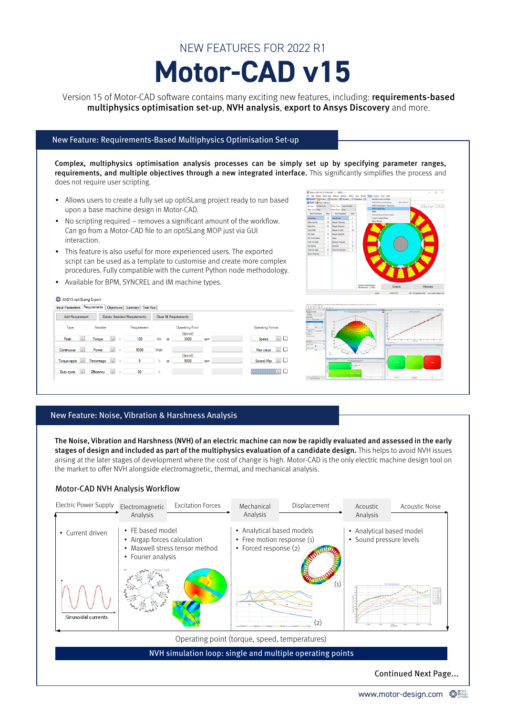# **Motor-CAD v15** NEW FEATURES FOR 2022 R1

Version 15 of Motor-CAD software contains many exciting new features, including: requirements-based multiphysics optimisation set-up, NVH analysis, export to Ansys Discovery and more.

# New Feature: Requirements-Based Multiphysics Optimisation Set-up

Complex, multiphysics optimisation analysis processes can be simply set up by specifying parameter ranges, requirements, and multiple objectives through a new integrated interface. This significantly simplifies the process and does not require user scripting.

- Allows users to create a fully set up optiSLang project ready to run based upon a base machine design in Motor-CAD.
- No scripting required removes a significant amount of the workflow. Can go from a Motor-CAD file to an optiSLang MOP just via GUI interaction.
- This feature is also useful for more experienced users. The exported script can be used as a template to customise and create more complex procedures. Fully compatible with the current Python node methodology.
- Available for BPM, SYNCREL and IM machine types.

#### **EX ANSYS ontiSl and Export**

| Requirements<br>Test Run<br>Objectives<br><b>Summary</b><br><b>Input Parameters</b> |                                     |                        |                                   |                                |
|-------------------------------------------------------------------------------------|-------------------------------------|------------------------|-----------------------------------|--------------------------------|
| <b>Add Requirement</b>                                                              | <b>Delete Selected Requirements</b> | Clear All Requirements |                                   |                                |
| Type<br>Variable                                                                    | Requirement                         |                        | <b>Operating Point</b><br>(Speed) | <b>Operating Format</b>        |
| Peak<br>$\overline{\vee}$<br>Torque<br>$\checkmark$                                 | 100<br>>                            | Nm<br>at               | 3000<br>rom                       | V □<br>Speed                   |
| Power<br>$\checkmark$<br>Continuous<br>$\checkmark$                                 | 5000                                | Watt                   |                                   | $\backsim$ $\Box$<br>Max value |
| $\checkmark$<br>Percentage<br>$\vee$<br>Torque ripple                               | 5                                   | Y.<br>at               | (Speed)<br>5000<br>rom            | $\vee$<br>Speed/Max            |
| $\checkmark$<br><b>Efficiency</b><br>Duty cycle<br>$\vee$                           | 90                                  | $\gamma$               |                                   | $\checkmark$                   |
|                                                                                     |                                     |                        |                                   |                                |





# New Feature: Noise, Vibration & Harshness Analysis

The Noise, Vibration and Harshness (NVH) of an electric machine can now be rapidly evaluated and assessed in the early stages of design and included as part of the multiphysics evaluation of a candidate design. This helps to avoid NVH issues arising at the later stages of development where the cost of change is high. Motor-CAD is the only electric machine design tool on the market to offer NVH alongside electromagnetic, thermal, and mechanical analysis.





Continued Next Page...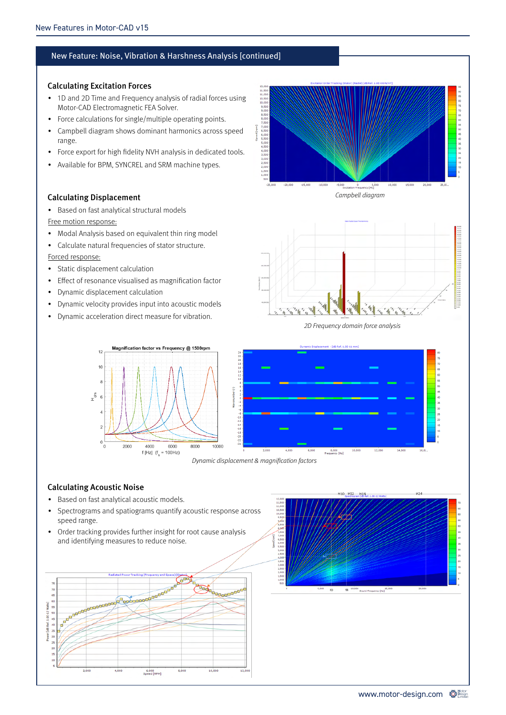# New Feature: Noise, Vibration & Harshness Analysis [continued]

# Calculating Excitation Forces

- 1D and 2D Time and Frequency analysis of radial forces using Motor-CAD Electromagnetic FEA Solver.
- Force calculations for single/multiple operating points.
- Campbell diagram shows dominant harmonics across speed range.
- Force export for high fidelity NVH analysis in dedicated tools.
- Available for BPM, SYNCREL and SRM machine types.

# Calculating Displacement

- Based on fast analytical structural models
- Free motion response:
- Modal Analysis based on equivalent thin ring model
- Calculate natural frequencies of stator structure.

#### Forced response:

- Static displacement calculation
- Effect of resonance visualised as magnification factor
- Dynamic displacement calculation
- Dynamic velocity provides input into acoustic models
- Dynamic acceleration direct measure for vibration.





2D Frequency domain force analysis



#### Dynamic displacement & magnification factors

# Calculating Acoustic Noise

- Based on fast analytical acoustic models.
- Spectrograms and spatiograms quantify acoustic response across speed range.
- Order tracking provides further insight for root cause analysis and identifying measures to reduce noise.